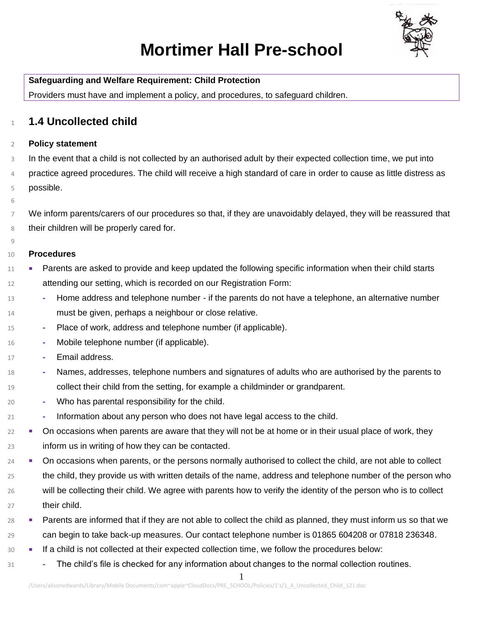

# **Mortimer Hall Pre-school**

**Safeguarding and Welfare Requirement: Child Protection** Providers must have and implement a policy, and procedures, to safeguard children.

## **1.4 Uncollected child**

### **Policy statement**

 In the event that a child is not collected by an authorised adult by their expected collection time, we put into practice agreed procedures. The child will receive a high standard of care in order to cause as little distress as possible.

#### 

 We inform parents/carers of our procedures so that, if they are unavoidably delayed, they will be reassured that their children will be properly cared for.

#### **Procedures**

- 11 Parents are asked to provide and keep updated the following specific information when their child starts attending our setting, which is recorded on our Registration Form:
- **-** Home address and telephone number if the parents do not have a telephone, an alternative number must be given, perhaps a neighbour or close relative.
- **-** Place of work, address and telephone number (if applicable).
- **-** Mobile telephone number (if applicable).
- **-** Email address.
- **-** Names, addresses, telephone numbers and signatures of adults who are authorised by the parents to collect their child from the setting, for example a childminder or grandparent.
- **-** Who has parental responsibility for the child.
- **-** Information about any person who does not have legal access to the child.
- $22 \bullet$  On occasions when parents are aware that they will not be at home or in their usual place of work, they inform us in writing of how they can be contacted.
- <sup>24</sup> On occasions when parents, or the persons normally authorised to collect the child, are not able to collect 25 the child, they provide us with written details of the name, address and telephone number of the person who will be collecting their child. We agree with parents how to verify the identity of the person who is to collect their child.
- 28 Parents are informed that if they are not able to collect the child as planned, they must inform us so that we can begin to take back-up measures. Our contact telephone number is 01865 604208 or 07818 236348.
- If a child is not collected at their expected collection time, we follow the procedures below:
- **-** The child's file is checked for any information about changes to the normal collection routines.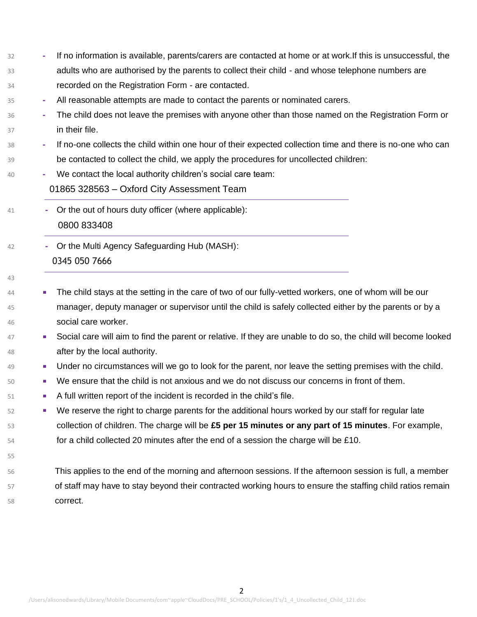| 32 |        | If no information is available, parents/carers are contacted at home or at work. If this is unsuccessful, the  |  |
|----|--------|----------------------------------------------------------------------------------------------------------------|--|
| 33 |        | adults who are authorised by the parents to collect their child - and whose telephone numbers are              |  |
| 34 |        | recorded on the Registration Form - are contacted.                                                             |  |
| 35 | $\sim$ | All reasonable attempts are made to contact the parents or nominated carers.                                   |  |
| 36 |        | The child does not leave the premises with anyone other than those named on the Registration Form or           |  |
| 37 |        | in their file.                                                                                                 |  |
| 38 | ٠      | If no-one collects the child within one hour of their expected collection time and there is no-one who can     |  |
| 39 |        | be contacted to collect the child, we apply the procedures for uncollected children:                           |  |
| 40 |        | We contact the local authority children's social care team:                                                    |  |
|    |        | 01865 328563 - Oxford City Assessment Team                                                                     |  |
| 41 | ٠      | Or the out of hours duty officer (where applicable):                                                           |  |
|    |        | 0800 833408                                                                                                    |  |
| 42 |        | Or the Multi Agency Safeguarding Hub (MASH):                                                                   |  |
|    |        | 0345 050 7666                                                                                                  |  |
| 43 |        |                                                                                                                |  |
| 44 | ш      | The child stays at the setting in the care of two of our fully-vetted workers, one of whom will be our         |  |
| 45 |        | manager, deputy manager or supervisor until the child is safely collected either by the parents or by a        |  |
| 46 |        | social care worker.                                                                                            |  |
| 47 | a.     | Social care will aim to find the parent or relative. If they are unable to do so, the child will become looked |  |
| 48 |        | after by the local authority.                                                                                  |  |
| 49 | ш      | Under no circumstances will we go to look for the parent, nor leave the setting premises with the child.       |  |
| 50 | ш      | We ensure that the child is not anxious and we do not discuss our concerns in front of them.                   |  |
| 51 | ш      | A full written report of the incident is recorded in the child's file.                                         |  |
| 52 | ш      | We reserve the right to charge parents for the additional hours worked by our staff for regular late           |  |
| 53 |        | collection of children. The charge will be $£5$ per 15 minutes or any part of 15 minutes. For example,         |  |
| 54 |        | for a child collected 20 minutes after the end of a session the charge will be £10.                            |  |
| 55 |        |                                                                                                                |  |
| 56 |        | This applies to the end of the morning and afternoon sessions. If the afternoon session is full, a member      |  |
| 57 |        | of staff may have to stay beyond their contracted working hours to ensure the staffing child ratios remain     |  |
| 58 |        | correct.                                                                                                       |  |
|    |        |                                                                                                                |  |